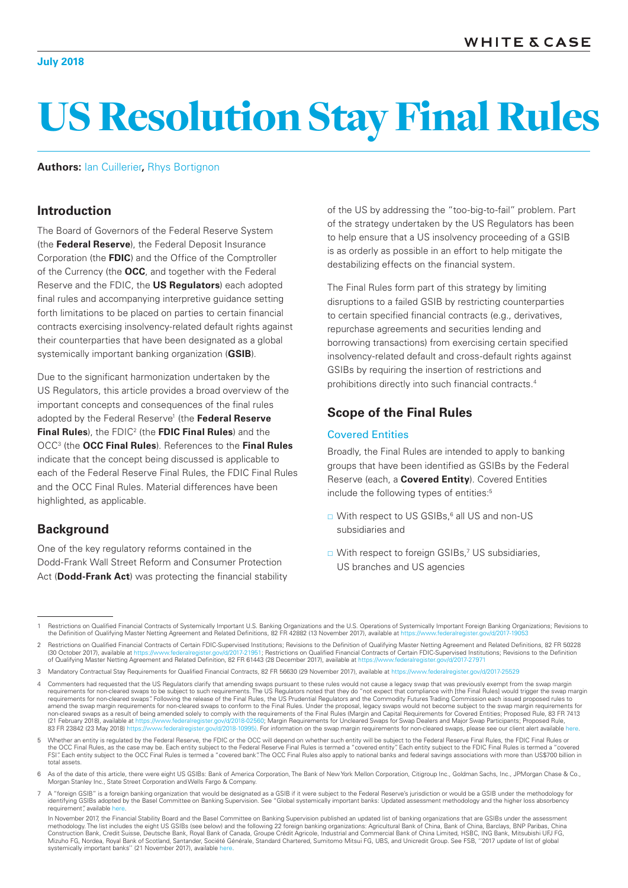#### **July 2018**

# US Resolution Stay Final Rules

**Authors:** [Ian Cuillerier](https://www.whitecase.com/people/ian-cuillerier)**,** [Rhys Bortignon](https://www.whitecase.com/people/rhys-bortignon)

## **Introduction**

The Board of Governors of the Federal Reserve System (the **Federal Reserve**), the Federal Deposit Insurance Corporation (the **FDIC**) and the Office of the Comptroller of the Currency (the **OCC**, and together with the Federal Reserve and the FDIC, the **US Regulators**) each adopted final rules and accompanying interpretive guidance setting forth limitations to be placed on parties to certain financial contracts exercising insolvency-related default rights against their counterparties that have been designated as a global systemically important banking organization (**GSIB**).

Due to the significant harmonization undertaken by the US Regulators, this article provides a broad overview of the important concepts and consequences of the final rules adopted by the Federal Reserve<sup>1</sup> (the Federal Reserve **Final Rules**), the FDIC2 (the **FDIC Final Rules**) and the OCC3 (the **OCC Final Rules**). References to the **Final Rules** indicate that the concept being discussed is applicable to each of the Federal Reserve Final Rules, the FDIC Final Rules and the OCC Final Rules. Material differences have been highlighted, as applicable.

# **Background**

One of the key regulatory reforms contained in the Dodd-Frank Wall Street Reform and Consumer Protection Act (**Dodd-Frank Act**) was protecting the financial stability of the US by addressing the "too-big-to-fail" problem. Part of the strategy undertaken by the US Regulators has been to help ensure that a US insolvency proceeding of a GSIB is as orderly as possible in an effort to help mitigate the destabilizing effects on the financial system.

The Final Rules form part of this strategy by limiting disruptions to a failed GSIB by restricting counterparties to certain specified financial contracts (e.g., derivatives, repurchase agreements and securities lending and borrowing transactions) from exercising certain specified insolvency-related default and cross-default rights against GSIBs by requiring the insertion of restrictions and prohibitions directly into such financial contracts.4

# **Scope of the Final Rules**

#### Covered Entities

Broadly, the Final Rules are intended to apply to banking groups that have been identified as GSIBs by the Federal Reserve (each, a **Covered Entity**). Covered Entities include the following types of entities:<sup>5</sup>

- □ With respect to US GSIBs,<sup>6</sup> all US and non-US subsidiaries and
- □ With respect to foreign GSIBs,<sup>7</sup> US subsidiaries, US branches and US agencies

<sup>1</sup> Restrictions on Qualified Financial Contracts of Systemically Important U.S. Banking Organizations and the U.S. Operations of Systemically Important Foreign Banking Organizations; Revisions to the Definition of Qualifying Master Netting Agreement and Related Definitions, 82 FR 42882 (13 November 2017), available at ht

Restrictions on Qualified Financial Contracts of Certain FDIC-Supervised Institutions; Revisions to the Definition of Qualifying Master Netting Agreement and Related Definitions, 82 FR 50228<br>(30 October 2017) available at (/2017-21951; Restrictions on Qualified Financial Contracts of Certain FDIC-Supervised Institutions; Revisions to the Definition<br>82 FR 61443 (28 December 2017), available at https://www.federalregister.gov/d/2017-27971 of Qualifying Master Netting Agreement and Related Definition, 82 FR 61443 (28 December 2017), available at https://www.federalregister.gov/d/2017-2017-27971-27971-27971-27971-27971-27971-27971-27971-27971-27971-27971-2797

<sup>3</sup> Mandatory Contractual Stay Requirements for Qualified Financial Contracts, 82 FR 56630 (29 November 2017), available at https://www.fe

Commenters had requested that the US Regulators clarify that amending swaps pursuant to these rules would not cause a legacy swap that was previously exempt from the swap margin requirements for non-cleared swaps to be subject to such requirements. The US Regulators noted that they do "not expect that compliance with [the Final Rules] would trigger the swap margin requirements for non-cleared swaps". Following the release of the Final Rules, the US Prudential Regulators and the Commodity Futures Trading Commission each issued proposed rules to amend the swap margin requirements for non-cleared swaps to conform to the Final Rules. Under the proposal, legacy swaps would not become subject to the swap margin requirements for<br>non-cleared swaps as a result of being a (21 February 2018), available at <https://www.federalregister.gov/d/2018-02560>; Margin Requirements for Uncleared Swaps for Swap Dealers and Major Swap Participants; Proposed Rule, 83 FR 23842 (23 May 2018) [https://www.federalregister.gov/d/2018-10995\)](https://www.federalregister.gov/d/2018-10995). For information on the swap margin requirements for non-cleared swaps, please see our client alert available [here.](https://www.whitecase.com/publications/alert/prudential-regulators-and-cftc-final-margin-rules-uncleared-swaps)

<sup>5</sup> Whether an entity is regulated by the Federal Reserve, the FDIC or the OCC will depend on whether such entity will be subject to the Federal Reserve Final Rules, the FDIC Final Rules or the OCC Final Rules, as the case may be. Each entity subject to the Federal Reserve Final Rules is termed a "covered entity". Each entity subject to the FDIC Final Rules is termed a "covered FSI". Each entity subject to the OCC Final Rules is termed a "covered bank". The OCC Final Rules also apply to national banks and federal savings associations with more than US\$700 billion in total assets.

<sup>6</sup> As of the date of this article, there were eight US GSIBs: Bank of America Corporation, The Bank of New York Mellon Corporation, Citigroup Inc., Goldman Sachs, Inc., JPMorgan Chase & Co., Morgan Stanley Inc., State Street Corporation and Wells Fargo & Company.

<sup>7</sup> A "foreign GSIB" is a foreign banking organization that would be designated as a GSIB if it were subject to the Federal Reserve's jurisdiction or would be a GSIB under the methodology for identifying GSIBs adopted by the Basel Committee on Banking Supervision. See "Global systemically important banks: Updated assessment methodology and the higher loss absorbency requirement", available [here](https://www.bis.org/publ/bcbs255.htm)

In November 2017, the Financial Stability Board and the Basel Committee on Banking Supervision published an updated list of banking organizations that are GSIBs under the assessment methodology. The list includes the eight US GSIBs (see below) and the following 22 foreign banking organizations: Agricultural Bank of China, Bank of China, Barclays, BNP Paribas, China Construction Bank, Credit Suisse, Deutsche Bank, Royal Bank of Canada, Groupe Crédit Agricole, Industrial and Commercial Bank of China Limited, HSBC, ING Bank, Mitsubishi UFJ FG,<br>Mizuho FG, Nordea, Royal Bank of Scotland, systemically important banks" (21 November 2017), available [here](http://www.fsb.org/2017/11/2017-list-of-global-systemically-important-banks-g-sibs/).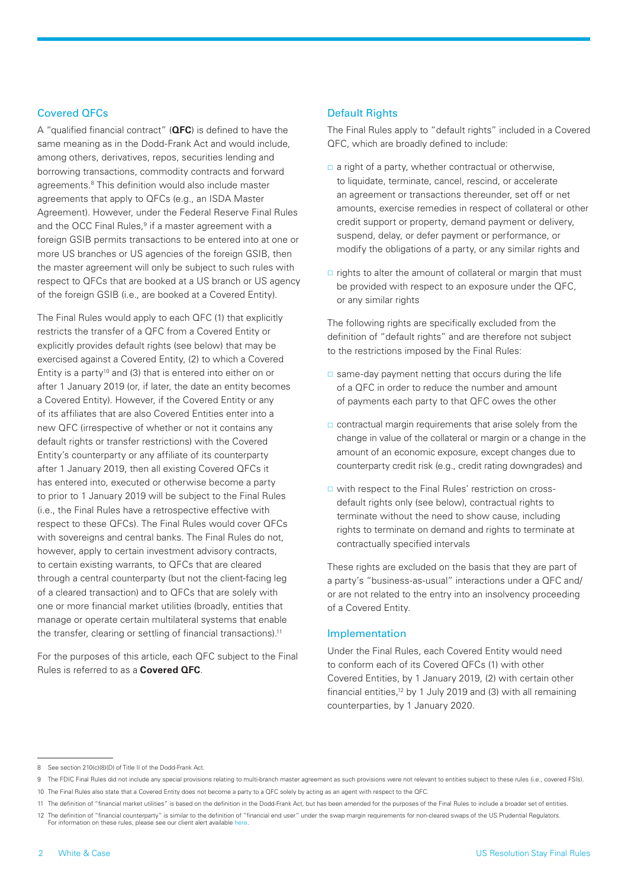#### Covered QFCs

A "qualified financial contract" (**QFC**) is defined to have the same meaning as in the Dodd-Frank Act and would include, among others, derivatives, repos, securities lending and borrowing transactions, commodity contracts and forward agreements.<sup>8</sup> This definition would also include master agreements that apply to QFCs (e.g., an ISDA Master Agreement). However, under the Federal Reserve Final Rules and the OCC Final Rules,<sup>9</sup> if a master agreement with a foreign GSIB permits transactions to be entered into at one or more US branches or US agencies of the foreign GSIB, then the master agreement will only be subject to such rules with respect to QFCs that are booked at a US branch or US agency of the foreign GSIB (i.e., are booked at a Covered Entity).

The Final Rules would apply to each QFC (1) that explicitly restricts the transfer of a QFC from a Covered Entity or explicitly provides default rights (see below) that may be exercised against a Covered Entity, (2) to which a Covered Entity is a party<sup>10</sup> and (3) that is entered into either on or after 1 January 2019 (or, if later, the date an entity becomes a Covered Entity). However, if the Covered Entity or any of its affiliates that are also Covered Entities enter into a new QFC (irrespective of whether or not it contains any default rights or transfer restrictions) with the Covered Entity's counterparty or any affiliate of its counterparty after 1 January 2019, then all existing Covered QFCs it has entered into, executed or otherwise become a party to prior to 1 January 2019 will be subject to the Final Rules (i.e., the Final Rules have a retrospective effective with respect to these QFCs). The Final Rules would cover QFCs with sovereigns and central banks. The Final Rules do not, however, apply to certain investment advisory contracts, to certain existing warrants, to QFCs that are cleared through a central counterparty (but not the client-facing leg of a cleared transaction) and to QFCs that are solely with one or more financial market utilities (broadly, entities that manage or operate certain multilateral systems that enable the transfer, clearing or settling of financial transactions).<sup>11</sup>

For the purposes of this article, each QFC subject to the Final Rules is referred to as a **Covered QFC**.

### Default Rights

The Final Rules apply to "default rights" included in a Covered QFC, which are broadly defined to include:

- a right of a party, whether contractual or otherwise, to liquidate, terminate, cancel, rescind, or accelerate an agreement or transactions thereunder, set off or net amounts, exercise remedies in respect of collateral or other credit support or property, demand payment or delivery, suspend, delay, or defer payment or performance, or modify the obligations of a party, or any similar rights and
- $\Box$  rights to alter the amount of collateral or margin that must be provided with respect to an exposure under the QFC, or any similar rights

The following rights are specifically excluded from the definition of "default rights" and are therefore not subject to the restrictions imposed by the Final Rules:

- $\square$  same-day payment netting that occurs during the life of a QFC in order to reduce the number and amount of payments each party to that QFC owes the other
- $\Box$  contractual margin requirements that arise solely from the change in value of the collateral or margin or a change in the amount of an economic exposure, except changes due to counterparty credit risk (e.g., credit rating downgrades) and
- □ with respect to the Final Rules' restriction on crossdefault rights only (see below), contractual rights to terminate without the need to show cause, including rights to terminate on demand and rights to terminate at contractually specified intervals

These rights are excluded on the basis that they are part of a party's "business-as-usual" interactions under a QFC and/ or are not related to the entry into an insolvency proceeding of a Covered Entity.

#### Implementation

Under the Final Rules, each Covered Entity would need to conform each of its Covered QFCs (1) with other Covered Entities, by 1 January 2019, (2) with certain other financial entities,12 by 1 July 2019 and (3) with all remaining counterparties, by 1 January 2020.

<sup>8</sup> See section 210(c)(8)(D) of Title II of the Dodd-Frank Act.

<sup>9</sup> The FDIC Final Rules did not include any special provisions relating to multi-branch master agreement as such provisions were not relevant to entities subject to these rules (i.e., covered FSIs).

<sup>10</sup> The Final Rules also state that a Covered Entity does not become a party to a QFC solely by acting as an agent with respect to the QFC.

<sup>11</sup> The definition of "financial market utilities" is based on the definition in the Dodd-Frank Act, but has been amended for the purposes of the Final Rules to include a broader set of entities.

<sup>12</sup> The definition of "financial counterparty" is similar to the definition of "financial end user" under the swap margin requirements for non-cleared swaps of the US Prudential Regulators. For information on these rules, please see our client alert available [here.](https://www.whitecase.com/publications/alert/prudential-regulators-and-cftc-final-margin-rules-uncleared-swaps)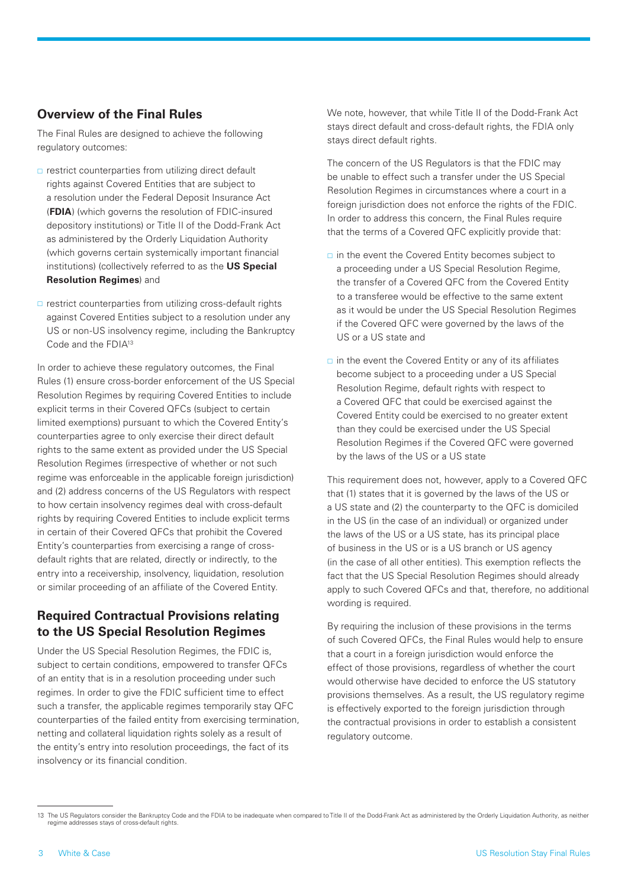# **Overview of the Final Rules**

The Final Rules are designed to achieve the following regulatory outcomes:

- $\Box$  restrict counterparties from utilizing direct default rights against Covered Entities that are subject to a resolution under the Federal Deposit Insurance Act (**FDIA**) (which governs the resolution of FDIC-insured depository institutions) or Title II of the Dodd-Frank Act as administered by the Orderly Liquidation Authority (which governs certain systemically important financial institutions) (collectively referred to as the **US Special Resolution Regimes**) and
- $\Box$  restrict counterparties from utilizing cross-default rights against Covered Entities subject to a resolution under any US or non-US insolvency regime, including the Bankruptcy Code and the FDIA13

In order to achieve these regulatory outcomes, the Final Rules (1) ensure cross-border enforcement of the US Special Resolution Regimes by requiring Covered Entities to include explicit terms in their Covered QFCs (subject to certain limited exemptions) pursuant to which the Covered Entity's counterparties agree to only exercise their direct default rights to the same extent as provided under the US Special Resolution Regimes (irrespective of whether or not such regime was enforceable in the applicable foreign jurisdiction) and (2) address concerns of the US Regulators with respect to how certain insolvency regimes deal with cross-default rights by requiring Covered Entities to include explicit terms in certain of their Covered QFCs that prohibit the Covered Entity's counterparties from exercising a range of crossdefault rights that are related, directly or indirectly, to the entry into a receivership, insolvency, liquidation, resolution or similar proceeding of an affiliate of the Covered Entity.

# **Required Contractual Provisions relating to the US Special Resolution Regimes**

Under the US Special Resolution Regimes, the FDIC is, subject to certain conditions, empowered to transfer QFCs of an entity that is in a resolution proceeding under such regimes. In order to give the FDIC sufficient time to effect such a transfer, the applicable regimes temporarily stay QFC counterparties of the failed entity from exercising termination, netting and collateral liquidation rights solely as a result of the entity's entry into resolution proceedings, the fact of its insolvency or its financial condition.

We note, however, that while Title II of the Dodd-Frank Act stays direct default and cross-default rights, the FDIA only stays direct default rights.

The concern of the US Regulators is that the FDIC may be unable to effect such a transfer under the US Special Resolution Regimes in circumstances where a court in a foreign jurisdiction does not enforce the rights of the FDIC. In order to address this concern, the Final Rules require that the terms of a Covered QFC explicitly provide that:

- $\Box$  in the event the Covered Entity becomes subject to a proceeding under a US Special Resolution Regime, the transfer of a Covered QFC from the Covered Entity to a transferee would be effective to the same extent as it would be under the US Special Resolution Regimes if the Covered QFC were governed by the laws of the US or a US state and
- $\Box$  in the event the Covered Entity or any of its affiliates become subject to a proceeding under a US Special Resolution Regime, default rights with respect to a Covered QFC that could be exercised against the Covered Entity could be exercised to no greater extent than they could be exercised under the US Special Resolution Regimes if the Covered QFC were governed by the laws of the US or a US state

This requirement does not, however, apply to a Covered QFC that (1) states that it is governed by the laws of the US or a US state and (2) the counterparty to the QFC is domiciled in the US (in the case of an individual) or organized under the laws of the US or a US state, has its principal place of business in the US or is a US branch or US agency (in the case of all other entities). This exemption reflects the fact that the US Special Resolution Regimes should already apply to such Covered QFCs and that, therefore, no additional wording is required.

By requiring the inclusion of these provisions in the terms of such Covered QFCs, the Final Rules would help to ensure that a court in a foreign jurisdiction would enforce the effect of those provisions, regardless of whether the court would otherwise have decided to enforce the US statutory provisions themselves. As a result, the US regulatory regime is effectively exported to the foreign jurisdiction through the contractual provisions in order to establish a consistent regulatory outcome.

<sup>13</sup> The US Regulators consider the Bankruptcy Code and the FDIA to be inadequate when compared to Title II of the Dodd-Frank Act as administered by the Orderly Liquidation Authority, as neither regime addresses stays of cross-default rights.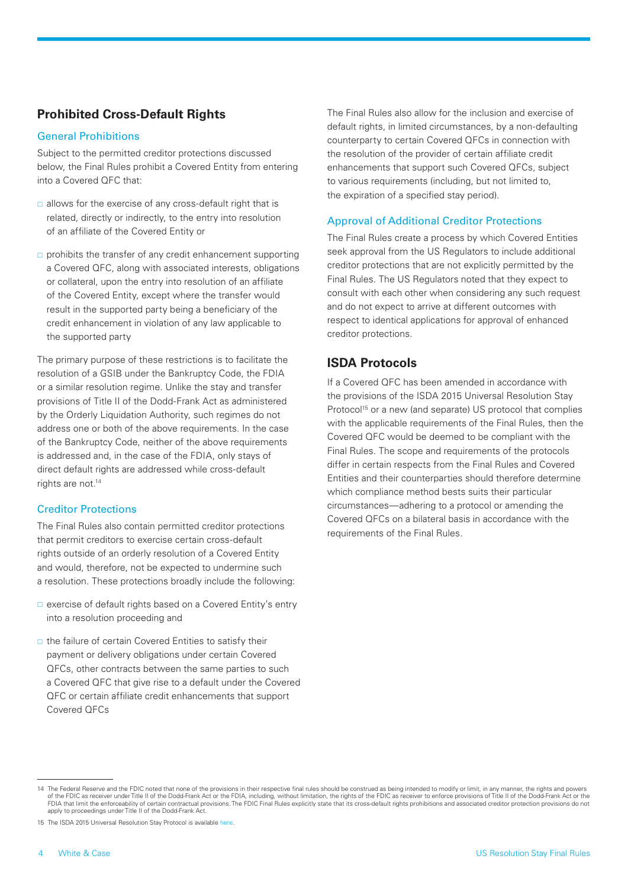# **Prohibited Cross-Default Rights**

#### General Prohibitions

Subject to the permitted creditor protections discussed below, the Final Rules prohibit a Covered Entity from entering into a Covered QFC that:

- $\Box$  allows for the exercise of any cross-default right that is related, directly or indirectly, to the entry into resolution of an affiliate of the Covered Entity or
- $\Box$  prohibits the transfer of any credit enhancement supporting a Covered QFC, along with associated interests, obligations or collateral, upon the entry into resolution of an affiliate of the Covered Entity, except where the transfer would result in the supported party being a beneficiary of the credit enhancement in violation of any law applicable to the supported party

The primary purpose of these restrictions is to facilitate the resolution of a GSIB under the Bankruptcy Code, the FDIA or a similar resolution regime. Unlike the stay and transfer provisions of Title II of the Dodd-Frank Act as administered by the Orderly Liquidation Authority, such regimes do not address one or both of the above requirements. In the case of the Bankruptcy Code, neither of the above requirements is addressed and, in the case of the FDIA, only stays of direct default rights are addressed while cross-default rights are not.<sup>14</sup>

#### Creditor Protections

The Final Rules also contain permitted creditor protections that permit creditors to exercise certain cross-default rights outside of an orderly resolution of a Covered Entity and would, therefore, not be expected to undermine such a resolution. These protections broadly include the following:

- □ exercise of default rights based on a Covered Entity's entry into a resolution proceeding and
- $\Box$  the failure of certain Covered Entities to satisfy their payment or delivery obligations under certain Covered QFCs, other contracts between the same parties to such a Covered QFC that give rise to a default under the Covered QFC or certain affiliate credit enhancements that support Covered QFCs

The Final Rules also allow for the inclusion and exercise of default rights, in limited circumstances, by a non-defaulting counterparty to certain Covered QFCs in connection with the resolution of the provider of certain affiliate credit enhancements that support such Covered QFCs, subject to various requirements (including, but not limited to, the expiration of a specified stay period).

#### Approval of Additional Creditor Protections

The Final Rules create a process by which Covered Entities seek approval from the US Regulators to include additional creditor protections that are not explicitly permitted by the Final Rules. The US Regulators noted that they expect to consult with each other when considering any such request and do not expect to arrive at different outcomes with respect to identical applications for approval of enhanced creditor protections.

# **ISDA Protocols**

If a Covered QFC has been amended in accordance with the provisions of the ISDA 2015 Universal Resolution Stay Protocol<sup>15</sup> or a new (and separate) US protocol that complies with the applicable requirements of the Final Rules, then the Covered QFC would be deemed to be compliant with the Final Rules. The scope and requirements of the protocols differ in certain respects from the Final Rules and Covered Entities and their counterparties should therefore determine which compliance method bests suits their particular circumstances—adhering to a protocol or amending the Covered QFCs on a bilateral basis in accordance with the requirements of the Final Rules.

<sup>14.</sup> The Federal Reserve and the FDIC noted that none of the provisions in their respective final rules should be construed as being intended to modify or limit, in any manner, the rights and powers of the FDIC as receiver under Title II of the Dodd-Frank Act or the FDIA, including, without limitation, the rights of the FDIC as receiver to enforce provisions of Title II of the Dodd-Frank Act or the FDIA that limit the enforceability of certain contractual provisions. The FDIC Final Rules explicitly state that its cross-default rights prohibitions and associated creditor protection provisions do not apply to proceedings under Title II of the Dodd-Frank Act.

<sup>15</sup> The ISDA 2015 Universal Resolution Stay Protocol is available [here.](https://www.isda.org/protocol/isda-2015-universal-resolution-stay-protocol/)